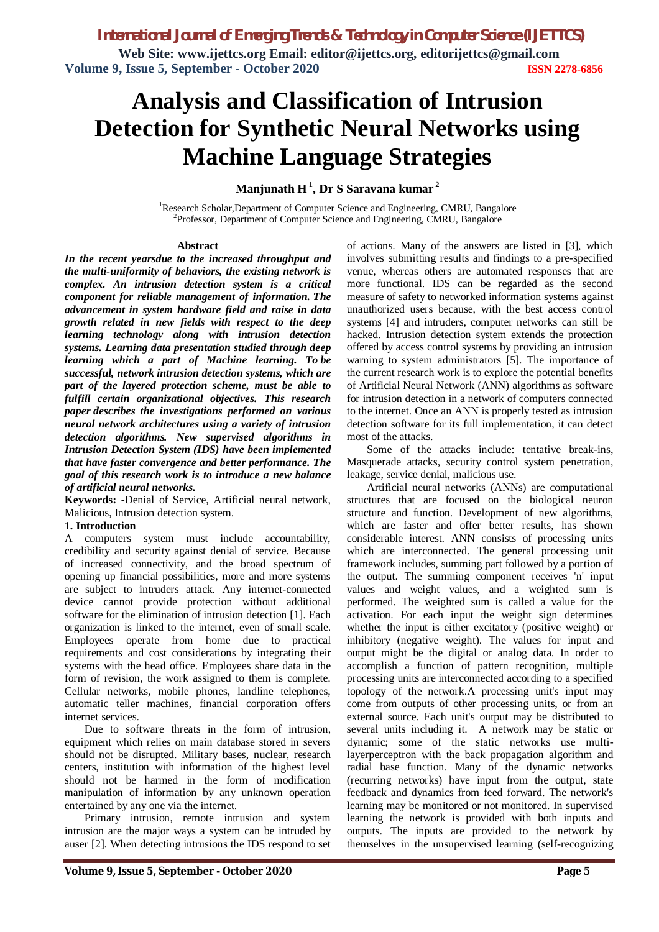**Web Site: www.ijettcs.org Email: editor@ijettcs.org, editorijettcs@gmail.com Volume 9, Issue 5, September - October 2020 ISSN 2278-6856**

# **Analysis and Classification of Intrusion Detection for Synthetic Neural Networks using Machine Language Strategies**

**Manjunath H <sup>1</sup> , Dr S Saravana kumar <sup>2</sup>**

<sup>1</sup>Research Scholar,Department of Computer Science and Engineering, CMRU, Bangalore <sup>2</sup>Professor, Department of Computer Science and Engineering, CMRU, Bangalore

## **Abstract**

*In the recent yearsdue to the increased throughput and the multi-uniformity of behaviors, the existing network is complex. An intrusion detection system is a critical component for reliable management of information. The advancement in system hardware field and raise in data growth related in new fields with respect to the deep learning technology along with intrusion detection systems. Learning data presentation studied through deep learning which a part of Machine learning. To be successful, network intrusion detection systems, which are part of the layered protection scheme, must be able to fulfill certain organizational objectives. This research paper describes the investigations performed on various neural network architectures using a variety of intrusion detection algorithms. New supervised algorithms in Intrusion Detection System (IDS) have been implemented that have faster convergence and better performance. The goal of this research work is to introduce a new balance of artificial neural networks.* 

**Keywords: -**Denial of Service, Artificial neural network, Malicious, Intrusion detection system.

## **1. Introduction**

A computers system must include accountability, credibility and security against denial of service. Because of increased connectivity, and the broad spectrum of opening up financial possibilities, more and more systems are subject to intruders attack. Any internet-connected device cannot provide protection without additional software for the elimination of intrusion detection [1]. Each organization is linked to the internet, even of small scale. Employees operate from home due to practical requirements and cost considerations by integrating their systems with the head office. Employees share data in the form of revision, the work assigned to them is complete. Cellular networks, mobile phones, landline telephones, automatic teller machines, financial corporation offers internet services.

Due to software threats in the form of intrusion, equipment which relies on main database stored in severs should not be disrupted. Military bases, nuclear, research centers, institution with information of the highest level should not be harmed in the form of modification manipulation of information by any unknown operation entertained by any one via the internet.

Primary intrusion, remote intrusion and system intrusion are the major ways a system can be intruded by auser [2]. When detecting intrusions the IDS respond to set of actions. Many of the answers are listed in [3], which involves submitting results and findings to a pre-specified venue, whereas others are automated responses that are more functional. IDS can be regarded as the second measure of safety to networked information systems against unauthorized users because, with the best access control systems [4] and intruders, computer networks can still be hacked. Intrusion detection system extends the protection offered by access control systems by providing an intrusion warning to system administrators [5]. The importance of the current research work is to explore the potential benefits of Artificial Neural Network (ANN) algorithms as software for intrusion detection in a network of computers connected to the internet. Once an ANN is properly tested as intrusion detection software for its full implementation, it can detect most of the attacks.

Some of the attacks include: tentative break-ins, Masquerade attacks, security control system penetration, leakage, service denial, malicious use.

Artificial neural networks (ANNs) are computational structures that are focused on the biological neuron structure and function. Development of new algorithms, which are faster and offer better results, has shown considerable interest. ANN consists of processing units which are interconnected. The general processing unit framework includes, summing part followed by a portion of the output. The summing component receives 'n' input values and weight values, and a weighted sum is performed. The weighted sum is called a value for the activation. For each input the weight sign determines whether the input is either excitatory (positive weight) or inhibitory (negative weight). The values for input and output might be the digital or analog data. In order to accomplish a function of pattern recognition, multiple processing units are interconnected according to a specified topology of the network.A processing unit's input may come from outputs of other processing units, or from an external source. Each unit's output may be distributed to several units including it. A network may be static or dynamic; some of the static networks use multilayerperceptron with the back propagation algorithm and radial base function. Many of the dynamic networks (recurring networks) have input from the output, state feedback and dynamics from feed forward. The network's learning may be monitored or not monitored. In supervised learning the network is provided with both inputs and outputs. The inputs are provided to the network by themselves in the unsupervised learning (self-recognizing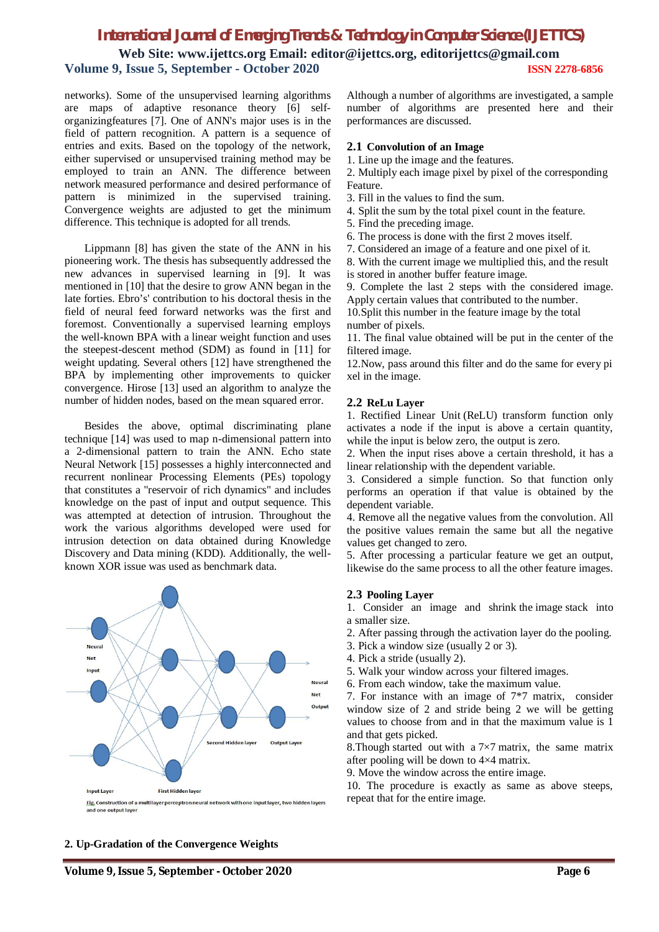**Web Site: www.ijettcs.org Email: editor@ijettcs.org, editorijettcs@gmail.com Volume 9, Issue 5, September - October 2020 ISSN 2278-6856**

networks). Some of the unsupervised learning algorithms are maps of adaptive resonance theory [6] selforganizingfeatures [7]. One of ANN's major uses is in the field of pattern recognition. A pattern is a sequence of entries and exits. Based on the topology of the network, either supervised or unsupervised training method may be employed to train an ANN. The difference between network measured performance and desired performance of pattern is minimized in the supervised training. Convergence weights are adjusted to get the minimum difference. This technique is adopted for all trends.

Lippmann [8] has given the state of the ANN in his pioneering work. The thesis has subsequently addressed the new advances in supervised learning in [9]. It was mentioned in [10] that the desire to grow ANN began in the late forties. Ebro's' contribution to his doctoral thesis in the field of neural feed forward networks was the first and foremost. Conventionally a supervised learning employs the well-known BPA with a linear weight function and uses the steepest-descent method (SDM) as found in [11] for weight updating. Several others [12] have strengthened the BPA by implementing other improvements to quicker convergence. Hirose [13] used an algorithm to analyze the number of hidden nodes, based on the mean squared error.

Besides the above, optimal discriminating plane technique [14] was used to map n-dimensional pattern into a 2-dimensional pattern to train the ANN. Echo state Neural Network [15] possesses a highly interconnected and recurrent nonlinear Processing Elements (PEs) topology that constitutes a "reservoir of rich dynamics" and includes knowledge on the past of input and output sequence. This was attempted at detection of intrusion. Throughout the work the various algorithms developed were used for intrusion detection on data obtained during Knowledge Discovery and Data mining (KDD). Additionally, the wellknown XOR issue was used as benchmark data.



and one output laver

Although a number of algorithms are investigated, a sample number of algorithms are presented here and their performances are discussed.

#### **2.1 Convolution of an Image**

1. Line up the image and the features.

2. Multiply each image pixel by pixel of the corresponding Feature.

- 3. Fill in the values to find the sum.
- 4. Split the sum by the total pixel count in the feature.
- 5. Find the preceding image.
- 6. The process is done with the first 2 moves itself.
- 7. Considered an image of a feature and one pixel of it.
- 8. With the current image we multiplied this, and the result
- is stored in another buffer feature image.

9. Complete the last 2 steps with the considered image. Apply certain values that contributed to the number.

10.Split this number in the feature image by the total number of pixels.

11. The final value obtained will be put in the center of the filtered image.

12.Now, pass around this filter and do the same for every pi xel in the image.

#### **2.2 ReLu Layer**

1. Rectified Linear Unit (ReLU) transform function only activates a node if the input is above a certain quantity, while the input is below zero, the output is zero.

2. When the input rises above a certain threshold, it has a linear relationship with the dependent variable.

3. Considered a simple function. So that function only performs an operation if that value is obtained by the dependent variable.

4. Remove all the negative values from the convolution. All the positive values remain the same but all the negative values get changed to zero.

5. After processing a particular feature we get an output, likewise do the same process to all the other feature images.

#### **2.3 Pooling Layer**

1. Consider an image and shrink the image stack into a smaller size.

2. After passing through the activation layer do the pooling.

- 3. Pick a window size (usually 2 or 3).
- 4. Pick a stride (usually 2).
- 5. Walk your window across your filtered images.
- 6. From each window, take the maximum value.

7. For instance with an image of 7\*7 matrix, consider window size of 2 and stride being 2 we will be getting values to choose from and in that the maximum value is 1 and that gets picked.

8.Though started out with a  $7\times7$  matrix, the same matrix after pooling will be down to 4×4 matrix.

9. Move the window across the entire image.

10. The procedure is exactly as same as above steeps, repeat that for the entire image.

#### **2. Up-Gradation of the Convergence Weights**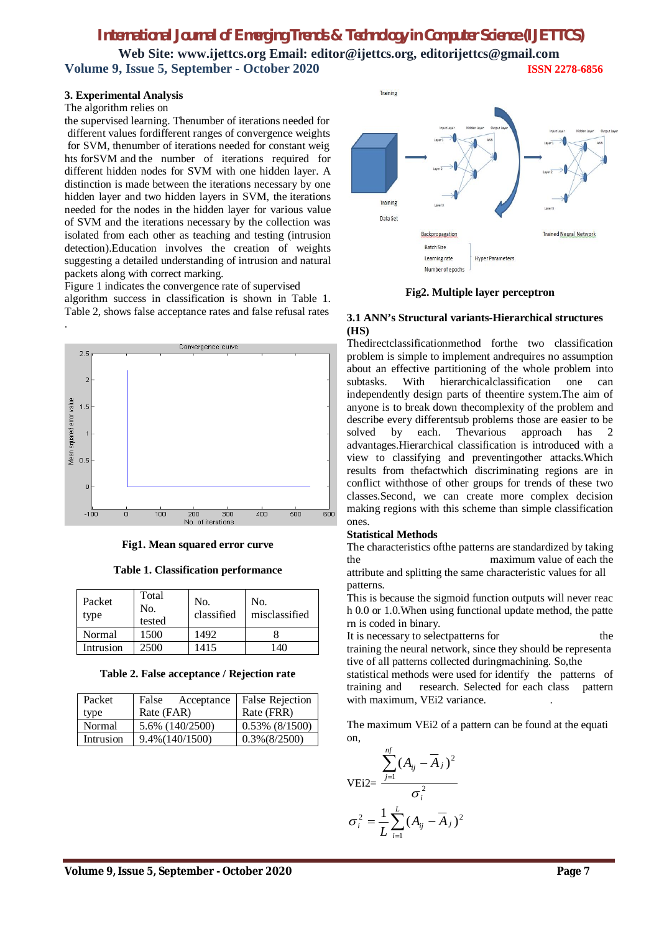**Web Site: www.ijettcs.org Email: editor@ijettcs.org, editorijettcs@gmail.com Volume 9, Issue 5, September - October 2020 ISSN 2278-6856**

#### **3. Experimental Analysis**

The algorithm relies on

the supervised learning. Thenumber of iterations needed for different values fordifferent ranges of convergence weights for SVM, thenumber of iterations needed for constant weig hts forSVM and the number of iterations required for different hidden nodes for SVM with one hidden layer. A distinction is made between the iterations necessary by one hidden layer and two hidden layers in SVM, the iterations needed for the nodes in the hidden layer for various value of SVM and the iterations necessary by the collection was isolated from each other as teaching and testing (intrusion detection).Education involves the creation of weights suggesting a detailed understanding of intrusion and natural packets along with correct marking.

Figure 1 indicates the convergence rate of supervised algorithm success in classification is shown in Table 1. Table 2, shows false acceptance rates and false refusal rates



**Fig1. Mean squared error curve**

#### **Table 1. Classification performance**

| Packet<br>type | Total<br>No.<br>tested | No.<br>classified | No.<br>misclassified |
|----------------|------------------------|-------------------|----------------------|
| Normal         | 1500                   | 1492              |                      |
| Intrusion      | 2500                   | 1415              | 140                  |

**Table 2. False acceptance / Rejection rate**

| Packet    | False<br>Acceptance | False Rejection   |
|-----------|---------------------|-------------------|
| type      | Rate (FAR)          | Rate (FRR)        |
| Normal    | 5.6% (140/2500)     | $0.53\%$ (8/1500) |
| Intrusion | $9.4\% (140/1500)$  | $0.3\%(8/2500)$   |





#### **3.1 ANN's Structural variants-Hierarchical structures (HS)**

Thedirectclassificationmethod forthe two classification problem is simple to implement andrequires no assumption about an effective partitioning of the whole problem into subtasks. With hierarchicalclassification one can independently design parts of theentire system.The aim of anyone is to break down thecomplexity of the problem and describe every differentsub problems those are easier to be solved by each. Thevarious approach has 2 advantages.Hierarchical classification is introduced with a view to classifying and preventingother attacks.Which results from thefactwhich discriminating regions are in conflict withthose of other groups for trends of these two classes.Second, we can create more complex decision making regions with this scheme than simple classification ones.

#### **Statistical Methods**

The characteristics ofthe patterns are standardized by taking the maximum value of each the attribute and splitting the same characteristic values for all patterns.

This is because the sigmoid function outputs will never reac h 0.0 or 1.0.When using functional update method, the patte rn is coded in binary.

It is necessary to selectpatterns for the training the neural network, since they should be representa tive of all patterns collected duringmachining. So,the

statistical methods were used for identify the patterns of training and research. Selected for each class pattern with maximum, VEi2 variance.

The maximum VEi2 of a pattern can be found at the equati on,

$$
\text{VEi2} = \frac{\sum_{j=1}^{nf} (A_{ij} - \overline{A}_j)^2}{\sigma_i^2}
$$

$$
\sigma_i^2 = \frac{1}{L} \sum_{i=1}^{L} (A_{ij} - \overline{A}_j)^2
$$

## **Volume 9, Issue 5, September - October 2020 Page 7**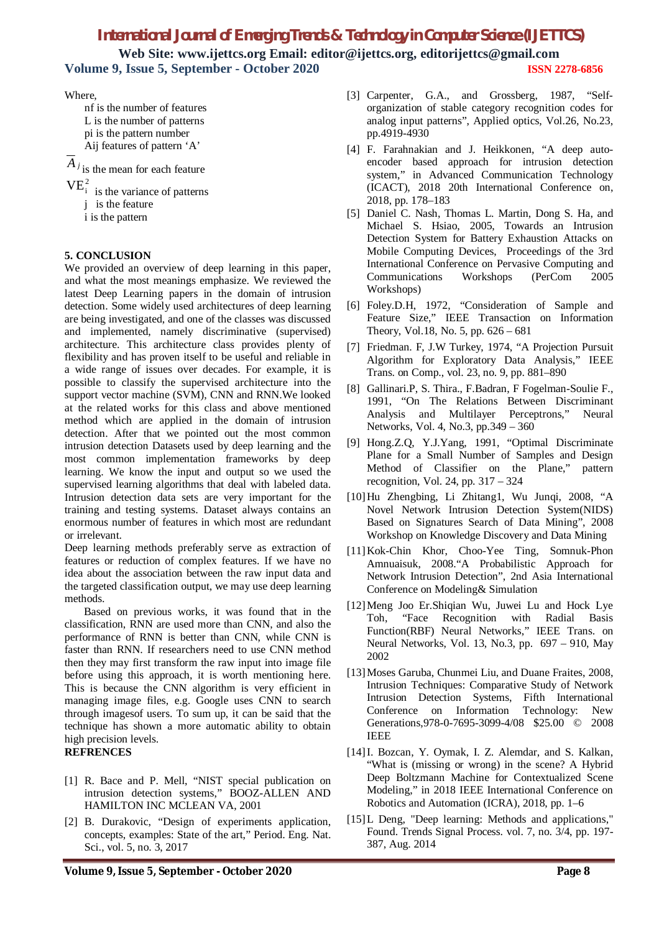**Web Site: www.ijettcs.org Email: editor@ijettcs.org, editorijettcs@gmail.com Volume 9, Issue 5, September - October 2020 ISSN 2278-6856**

Where,

nf is the number of features L is the number of patterns pi is the pattern number

Aij features of pattern 'A'

*A j* is the mean for each feature

 $VE_{i}^{2}$  is the variance of patterns

- j is the feature
- i is the pattern

# **5. CONCLUSION**

We provided an overview of deep learning in this paper, and what the most meanings emphasize. We reviewed the latest Deep Learning papers in the domain of intrusion detection. Some widely used architectures of deep learning are being investigated, and one of the classes was discussed and implemented, namely discriminative (supervised) architecture. This architecture class provides plenty of flexibility and has proven itself to be useful and reliable in a wide range of issues over decades. For example, it is possible to classify the supervised architecture into the support vector machine (SVM), CNN and RNN.We looked at the related works for this class and above mentioned method which are applied in the domain of intrusion detection. After that we pointed out the most common intrusion detection Datasets used by deep learning and the most common implementation frameworks by deep learning. We know the input and output so we used the supervised learning algorithms that deal with labeled data. Intrusion detection data sets are very important for the training and testing systems. Dataset always contains an enormous number of features in which most are redundant or irrelevant.

Deep learning methods preferably serve as extraction of features or reduction of complex features. If we have no idea about the association between the raw input data and the targeted classification output, we may use deep learning methods.

 Based on previous works, it was found that in the classification, RNN are used more than CNN, and also the performance of RNN is better than CNN, while CNN is faster than RNN. If researchers need to use CNN method then they may first transform the raw input into image file before using this approach, it is worth mentioning here. This is because the CNN algorithm is very efficient in managing image files, e.g. Google uses CNN to search through imagesof users. To sum up, it can be said that the technique has shown a more automatic ability to obtain high precision levels.

## **REFRENCES**

- [1] R. Bace and P. Mell, "NIST special publication on intrusion detection systems," BOOZ-ALLEN AND HAMILTON INC MCLEAN VA, 2001
- [2] B. Durakovic, "Design of experiments application, concepts, examples: State of the art," Period. Eng. Nat. Sci., vol. 5, no. 3, 2017
- [3] Carpenter, G.A., and Grossberg, 1987, "Selforganization of stable category recognition codes for analog input patterns", Applied optics, Vol.26, No.23, pp.4919-4930
- [4] F. Farahnakian and J. Heikkonen, "A deep autoencoder based approach for intrusion detection system," in Advanced Communication Technology (ICACT), 2018 20th International Conference on, 2018, pp. 178–183
- [5] Daniel C. Nash, Thomas L. Martin, Dong S. Ha, and Michael S. Hsiao, 2005, Towards an Intrusion Detection System for Battery Exhaustion Attacks on Mobile Computing Devices, Proceedings of the 3rd International Conference on Pervasive Computing and Communications Workshops (PerCom 2005 Workshops)
- [6] Foley.D.H, 1972, "Consideration of Sample and Feature Size," IEEE Transaction on Information Theory, Vol.18, No. 5, pp. 626 – 681
- [7] Friedman. F, J.W Turkey, 1974, "A Projection Pursuit Algorithm for Exploratory Data Analysis," IEEE Trans. on Comp., vol. 23, no. 9, pp. 881–890
- [8] Gallinari.P, S. Thira., F.Badran, F Fogelman-Soulie F., 1991, "On The Relations Between Discriminant Analysis and Multilayer Perceptrons," Neural Networks, Vol. 4, No.3, pp.349 – 360
- [9] Hong.Z.Q, Y.J.Yang, 1991, "Optimal Discriminate Plane for a Small Number of Samples and Design Method of Classifier on the Plane," pattern recognition, Vol. 24, pp. 317 – 324
- [10]Hu Zhengbing, Li Zhitang1, Wu Junqi, 2008, "A Novel Network Intrusion Detection System(NIDS) Based on Signatures Search of Data Mining", 2008 Workshop on Knowledge Discovery and Data Mining
- [11]Kok-Chin Khor, Choo-Yee Ting, Somnuk-Phon Amnuaisuk, 2008."A Probabilistic Approach for Network Intrusion Detection", 2nd Asia International Conference on Modeling& Simulation
- [12]Meng Joo Er.Shiqian Wu, Juwei Lu and Hock Lye Toh, "Face Recognition with Radial Basis Function(RBF) Neural Networks," IEEE Trans. on Neural Networks, Vol. 13, No.3, pp. 697 – 910, May 2002
- [13] Moses Garuba, Chunmei Liu, and Duane Fraites, 2008, Intrusion Techniques: Comparative Study of Network Intrusion Detection Systems, Fifth International Conference on Information Technology: New Generations,978-0-7695-3099-4/08 \$25.00 © 2008 IEEE
- [14] I. Bozcan, Y. Oymak, I. Z. Alemdar, and S. Kalkan, "What is (missing or wrong) in the scene? A Hybrid Deep Boltzmann Machine for Contextualized Scene Modeling," in 2018 IEEE International Conference on Robotics and Automation (ICRA), 2018, pp. 1–6
- [15] L Deng, "Deep learning: Methods and applications," Found. Trends Signal Process. vol. 7, no. 3/4, pp. 197- 387, Aug. 2014